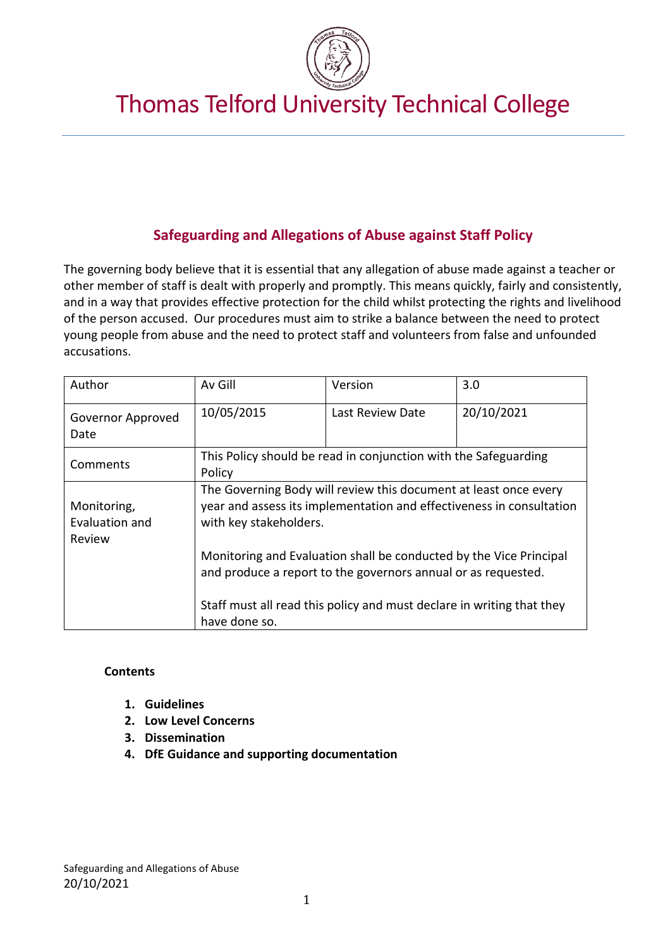

# Thomas Telford University Technical College

## **Safeguarding and Allegations of Abuse against Staff Policy**

The governing body believe that it is essential that any allegation of abuse made against a teacher or other member of staff is dealt with properly and promptly. This means quickly, fairly and consistently, and in a way that provides effective protection for the child whilst protecting the rights and livelihood of the person accused. Our procedures must aim to strike a balance between the need to protect young people from abuse and the need to protect staff and volunteers from false and unfounded accusations.

| Author                                  | Av Gill                                                                                                                                                            | Version          | 3.0        |
|-----------------------------------------|--------------------------------------------------------------------------------------------------------------------------------------------------------------------|------------------|------------|
| Governor Approved<br>Date               | 10/05/2015                                                                                                                                                         | Last Review Date | 20/10/2021 |
| Comments                                | This Policy should be read in conjunction with the Safeguarding<br>Policy                                                                                          |                  |            |
| Monitoring,<br>Evaluation and<br>Review | The Governing Body will review this document at least once every<br>year and assess its implementation and effectiveness in consultation<br>with key stakeholders. |                  |            |
|                                         | Monitoring and Evaluation shall be conducted by the Vice Principal<br>and produce a report to the governors annual or as requested.                                |                  |            |
|                                         | Staff must all read this policy and must declare in writing that they<br>have done so.                                                                             |                  |            |

#### **Contents**

- **1. Guidelines**
- **2. Low Level Concerns**
- **3. Dissemination**
- **4. DfE Guidance and supporting documentation**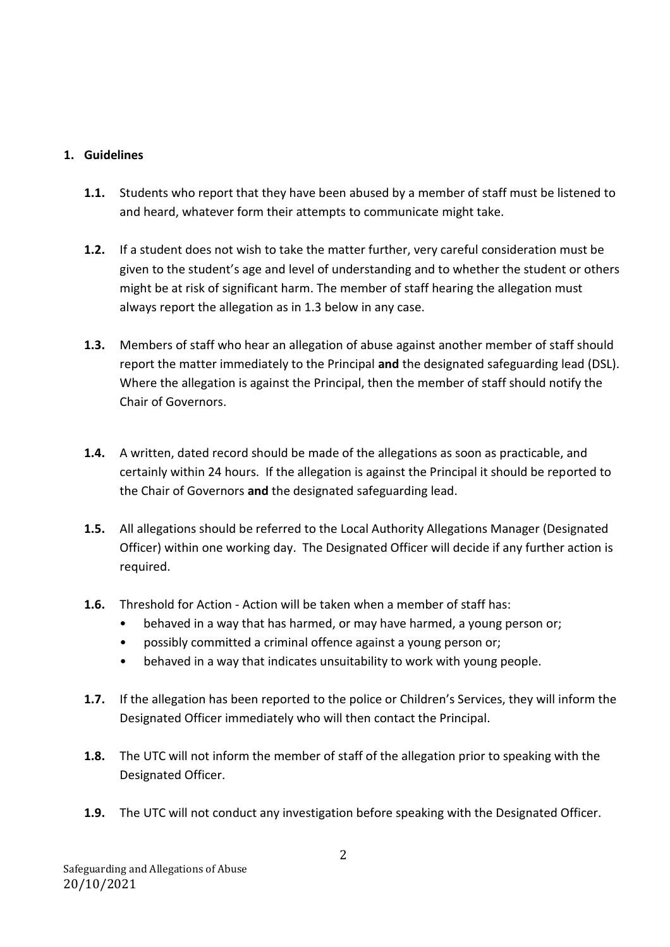## **1. Guidelines**

- **1.1.** Students who report that they have been abused by a member of staff must be listened to and heard, whatever form their attempts to communicate might take.
- **1.2.** If a student does not wish to take the matter further, very careful consideration must be given to the student's age and level of understanding and to whether the student or others might be at risk of significant harm. The member of staff hearing the allegation must always report the allegation as in 1.3 below in any case.
- **1.3.** Members of staff who hear an allegation of abuse against another member of staff should report the matter immediately to the Principal **and** the designated safeguarding lead (DSL). Where the allegation is against the Principal, then the member of staff should notify the Chair of Governors.
- **1.4.** A written, dated record should be made of the allegations as soon as practicable, and certainly within 24 hours. If the allegation is against the Principal it should be reported to the Chair of Governors **and** the designated safeguarding lead.
- **1.5.** All allegations should be referred to the Local Authority Allegations Manager (Designated Officer) within one working day. The Designated Officer will decide if any further action is required.
- **1.6.** Threshold for Action Action will be taken when a member of staff has:
	- behaved in a way that has harmed, or may have harmed, a young person or;
	- possibly committed a criminal offence against a young person or;
	- behaved in a way that indicates unsuitability to work with young people.
- **1.7.** If the allegation has been reported to the police or Children's Services, they will inform the Designated Officer immediately who will then contact the Principal.
- **1.8.** The UTC will not inform the member of staff of the allegation prior to speaking with the Designated Officer.
- **1.9.** The UTC will not conduct any investigation before speaking with the Designated Officer.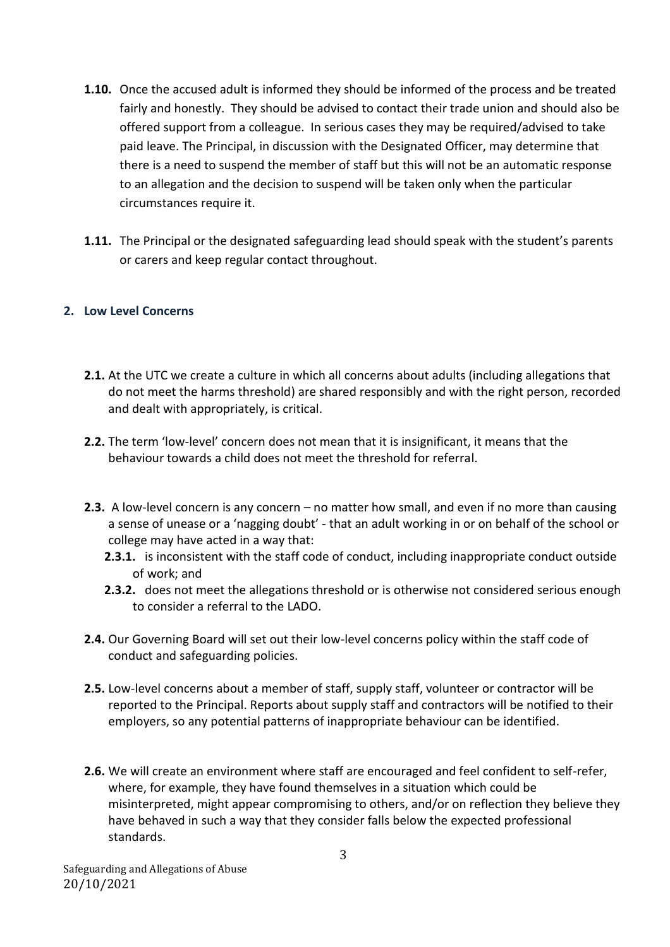- **1.10.** Once the accused adult is informed they should be informed of the process and be treated fairly and honestly. They should be advised to contact their trade union and should also be offered support from a colleague. In serious cases they may be required/advised to take paid leave. The Principal, in discussion with the Designated Officer, may determine that there is a need to suspend the member of staff but this will not be an automatic response to an allegation and the decision to suspend will be taken only when the particular circumstances require it.
- **1.11.** The Principal or the designated safeguarding lead should speak with the student's parents or carers and keep regular contact throughout.

#### **2. Low Level Concerns**

- **2.1.** At the UTC we create a culture in which all concerns about adults (including allegations that do not meet the harms threshold) are shared responsibly and with the right person, recorded and dealt with appropriately, is critical.
- **2.2.** The term 'low-level' concern does not mean that it is insignificant, it means that the behaviour towards a child does not meet the threshold for referral.
- **2.3.** A low-level concern is any concern no matter how small, and even if no more than causing a sense of unease or a 'nagging doubt' - that an adult working in or on behalf of the school or college may have acted in a way that:
	- **2.3.1.** is inconsistent with the staff code of conduct, including inappropriate conduct outside of work; and
	- **2.3.2.** does not meet the allegations threshold or is otherwise not considered serious enough to consider a referral to the LADO.
- **2.4.** Our Governing Board will set out their low-level concerns policy within the staff code of conduct and safeguarding policies.
- **2.5.** Low-level concerns about a member of staff, supply staff, volunteer or contractor will be reported to the Principal. Reports about supply staff and contractors will be notified to their employers, so any potential patterns of inappropriate behaviour can be identified.
- **2.6.** We will create an environment where staff are encouraged and feel confident to self-refer, where, for example, they have found themselves in a situation which could be misinterpreted, might appear compromising to others, and/or on reflection they believe they have behaved in such a way that they consider falls below the expected professional standards.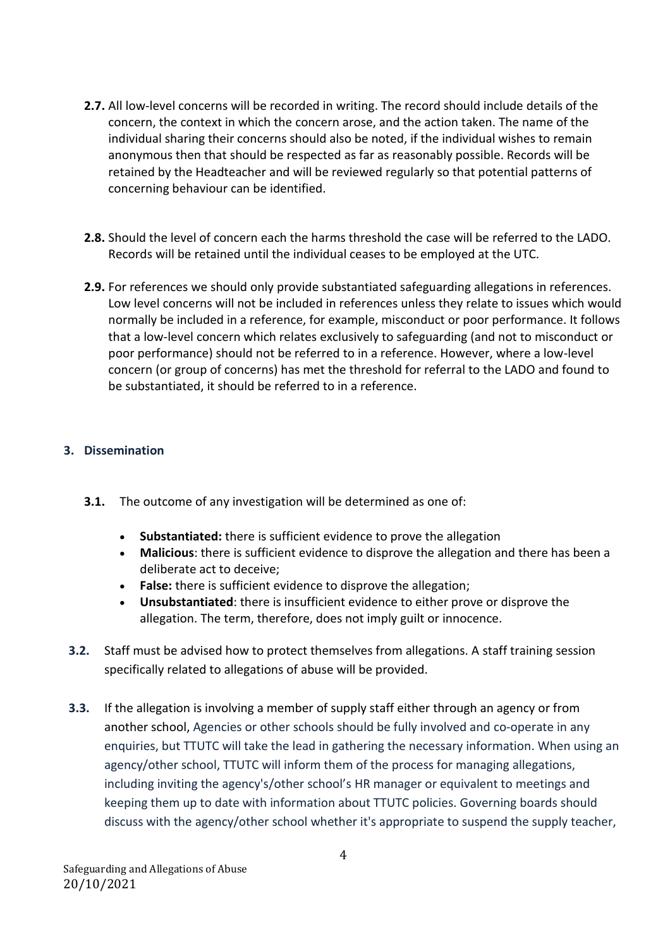- **2.7.** All low-level concerns will be recorded in writing. The record should include details of the concern, the context in which the concern arose, and the action taken. The name of the individual sharing their concerns should also be noted, if the individual wishes to remain anonymous then that should be respected as far as reasonably possible. Records will be retained by the Headteacher and will be reviewed regularly so that potential patterns of concerning behaviour can be identified.
- **2.8.** Should the level of concern each the harms threshold the case will be referred to the LADO. Records will be retained until the individual ceases to be employed at the UTC.
- **2.9.** For references we should only provide substantiated safeguarding allegations in references. Low level concerns will not be included in references unless they relate to issues which would normally be included in a reference, for example, misconduct or poor performance. It follows that a low-level concern which relates exclusively to safeguarding (and not to misconduct or poor performance) should not be referred to in a reference. However, where a low-level concern (or group of concerns) has met the threshold for referral to the LADO and found to be substantiated, it should be referred to in a reference.

### **3. Dissemination**

- **3.1.** The outcome of any investigation will be determined as one of:
	- **Substantiated:** there is sufficient evidence to prove the allegation
	- **Malicious**: there is sufficient evidence to disprove the allegation and there has been a deliberate act to deceive;
	- **False:** there is sufficient evidence to disprove the allegation;
	- **Unsubstantiated**: there is insufficient evidence to either prove or disprove the allegation. The term, therefore, does not imply guilt or innocence.
- **3.2.** Staff must be advised how to protect themselves from allegations. A staff training session specifically related to allegations of abuse will be provided.
- **3.3.** If the allegation is involving a member of supply staff either through an agency or from another school, Agencies or other schools should be fully involved and co-operate in any enquiries, but TTUTC will take the lead in gathering the necessary information. When using an agency/other school, TTUTC will inform them of the process for managing allegations, including inviting the agency's/other school's HR manager or equivalent to meetings and keeping them up to date with information about TTUTC policies. Governing boards should discuss with the agency/other school whether it's appropriate to suspend the supply teacher,